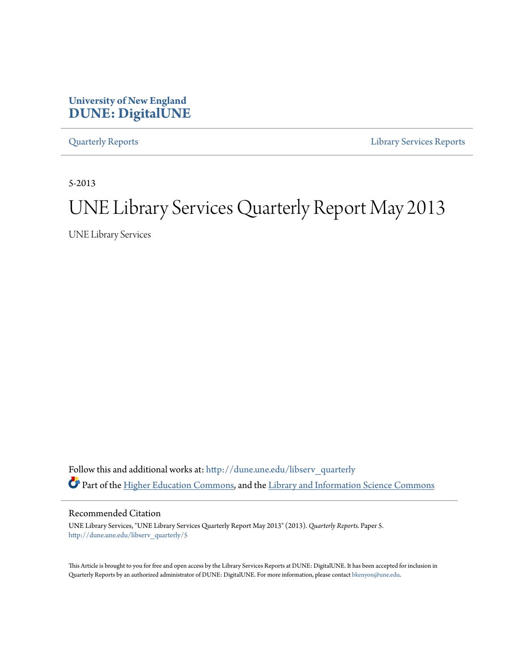# **University of New England [DUNE: DigitalUNE](http://dune.une.edu?utm_source=dune.une.edu%2Flibserv_quarterly%2F5&utm_medium=PDF&utm_campaign=PDFCoverPages)**

[Quarterly Reports](http://dune.une.edu/libserv_quarterly?utm_source=dune.une.edu%2Flibserv_quarterly%2F5&utm_medium=PDF&utm_campaign=PDFCoverPages) [Library Services Reports](http://dune.une.edu/libserv_reports?utm_source=dune.une.edu%2Flibserv_quarterly%2F5&utm_medium=PDF&utm_campaign=PDFCoverPages)

5-2013

# UNE Library Services Quarterly Report May 2013

UNE Library Services

Follow this and additional works at: [http://dune.une.edu/libserv\\_quarterly](http://dune.une.edu/libserv_quarterly?utm_source=dune.une.edu%2Flibserv_quarterly%2F5&utm_medium=PDF&utm_campaign=PDFCoverPages) Part of the [Higher Education Commons](http://network.bepress.com/hgg/discipline/1245?utm_source=dune.une.edu%2Flibserv_quarterly%2F5&utm_medium=PDF&utm_campaign=PDFCoverPages), and the [Library and Information Science Commons](http://network.bepress.com/hgg/discipline/1018?utm_source=dune.une.edu%2Flibserv_quarterly%2F5&utm_medium=PDF&utm_campaign=PDFCoverPages)

Recommended Citation

UNE Library Services, "UNE Library Services Quarterly Report May 2013" (2013). *Quarterly Reports.* Paper 5. [http://dune.une.edu/libserv\\_quarterly/5](http://dune.une.edu/libserv_quarterly/5?utm_source=dune.une.edu%2Flibserv_quarterly%2F5&utm_medium=PDF&utm_campaign=PDFCoverPages)

This Article is brought to you for free and open access by the Library Services Reports at DUNE: DigitalUNE. It has been accepted for inclusion in Quarterly Reports by an authorized administrator of DUNE: DigitalUNE. For more information, please contact [bkenyon@une.edu.](mailto:bkenyon@une.edu)